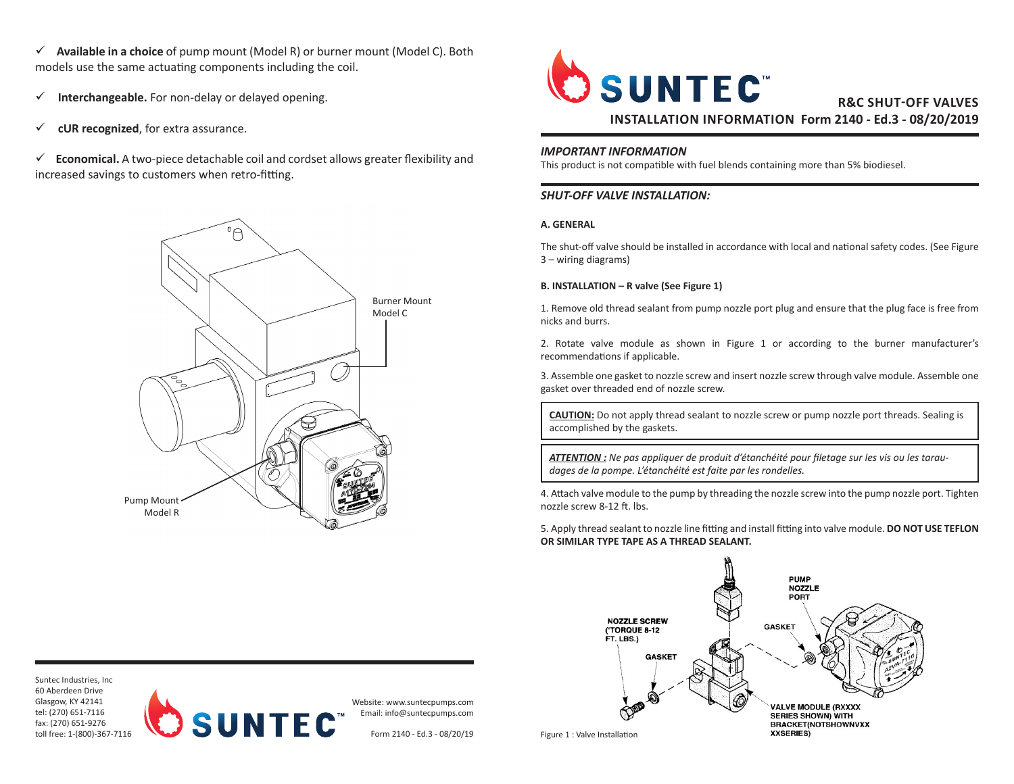**Available in a choice** of pump mount (Model R) or burner mount (Model C). Both models use the same actuating components including the coil.

- $\checkmark$  Interchangeable. For non-delay or delayed opening.
- **cUR recognized**, for extra assurance.

 $\checkmark$  **Economical.** A two-piece detachable coil and cordset allows greater flexibility and increased savings to customers when retro-fitting.





**R&C SHUT-OFF VALVES INSTALLATION INFORMATION Form 2140 - Ed.3 - 08/20/2019**

# *IMPORTANT INFORMATION*

This product is not compatible with fuel blends containing more than 5% biodiesel.

# *SHUT-OFF VALVE INSTALLATION:*

# **A. GENERAL**

The shut-off valve should be installed in accordance with local and national safety codes. (See Figure 3 – wiring diagrams)

### **B. INSTALLATION – R valve (See Figure 1)**

1. Remove old thread sealant from pump nozzle port plug and ensure that the plug face is free from nicks and burrs.

2. Rotate valve module as shown in Figure 1 or according to the burner manufacturer's recommendations if applicable.

3. Assemble one gasket to nozzle screw and insert nozzle screw through valve module. Assemble one gasket over threaded end of nozzle screw.

**CAUTION:** Do not apply thread sealant to nozzle screw or pump nozzle port threads. Sealing is accomplished by the gaskets.

*ATTENTION : Ne pas appliquer de produit d'étanchéité pour filetage sur les vis ou les taraudages de la pompe. L'étanchéité est faite par les rondelles.*

4. Attach valve module to the pump by threading the nozzle screw into the pump nozzle port. Tighten nozzle screw 8-12 ft. lbs.

5. Apply thread sealant to nozzle line fitting and install fitting into valve module. **DO NOT USE TEFLON OR SIMILAR TYPE TAPE AS A THREAD SEALANT.**



Suntec Industries, Inc 60 Aberdeen Drive Glasgow, KY 42141 tel: (270) 651-7116 fax: (270) 651-9276 toll free: 1-(800)-367-7116



Website: www.suntecpumps.com Email: info@suntecpumps.com

Form 2140 - Ed.3 - 08/20/19

Figure 1 : Valve Installation